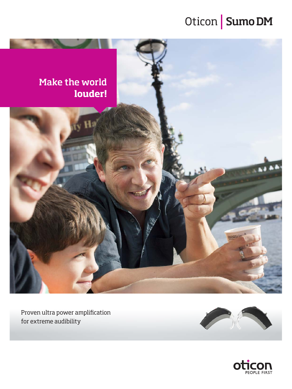### Oticon | Sumo DM



Proven ultra power amplification for extreme audibility



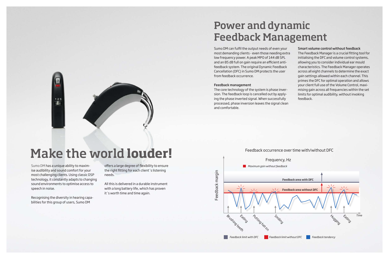# Make the world **louder!**

Sumo DM has a unique ability to maximise audibility and sound comfort for your most challenging clients. Using classic DSP technology, it constantly adapts to changing sound environments to optimise access to speech in noise.

 $123$ 

Recognising the diversity in hearing capabilities for this group of users, Sumo DM

offers a large degree of flexibility to ensure the right fitting for each client´s listening needs.

All this is delivered in a durable instrument with a long battery life, which has proven it´s worth time and time again.

### Power and dynamic Feedback Management

Sumo DM can fulfil the output needs of even your most demanding clients - even those needing extra low frequency power. A peak MPO of 144 dB SPL and an 85 dB full on gain require an efficient antifeedback system. The original Dynamic Feedback Cancellation (DFC) in Sumo DM protects the user from feedback occurrence.

#### Feedback management

The core technology of the system is phase inversion. The feedback loop is cancelled out by applying the phase inverted signal. When successfully processed, phase inversion leaves the signal clean and comfortable.

### Smart volume control without feedback

The Feedback Manager is a crucial fitting tool for initialising the DFC and volume control systems, allowing you to consider individual ear mould characteristics. The Feedback Manager operates across all eight channels to determine the exact gain settings allowed within each channel. This primes the DFC for optimal operation and allows your client full use of the Volume Control, maximising gain across all frequencies within the set limits for optimal audibility, without invoking feedback.

### Feedback occurrence over time with/without DFC

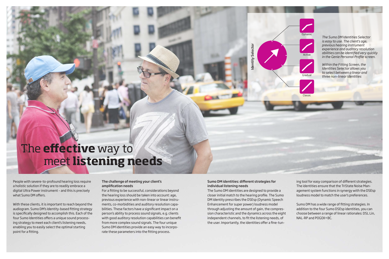*The Sumo DM Identities Selector is easy to use. The client's age, previous hearing instrument experience and auditory resolution abilities can be identified very quickly in the Genie Personal Profile screen.* 

*Within the Fitting Screen, the Identities Selector allows you to select between a linear and three non-linear Identities*

Identity Selector

Identity Selector





Active



**Gradual** 



People with severe-to-profound hearing loss require a holistic solution if they are to readily embrace a digital Ultra Power instrument – and this is precisely what Sumo DM offers.

With these clients, it is important to reach beyond the audiogram. Sumo DM's Identity-based fitting strategy is specifically designed to accomplish this. Each of the four Sumo Identities offers a unique sound processing strategy to meet each client's listening needs, enabling you to easily select the optimal starting point for a fitting.

### The challenge of meeting your client's amplification needs

For a fitting to be successful, considerations beyond the hearing loss should be taken into account: age, previous experience with non-linear or linear instruments, co-morbidities and auditory resolution capabilities. These factors have a significant impact on a person's ability to process sound signals, e.g. clients with good auditory resolution capabilities can benefit from more complex sound signals. The four unique Sumo DM identities provide an easy way to incorporate these parameters into the fitting process.

### Sumo DM identities: different strategies for individual listening needs

The Sumo DM identities are designed to provide a closer initial match to the hearing profile. The Sumo DM identity prescribes the DSEsp (Dynamic Speech Enhancement for super power) loudness model through adjusting the amount of gain, the compression characteristic and the dynamics across the eight independent channels, to fit the listening needs, of the user. Importantly, the identities offer a fine-tuning tool for easy comparison of different strategies. The identities ensure that the TriState Noise Management system functions in synergy with the DSEsp loudness model to match the user's preferences.

Sumo DM has a wide range of fitting strategies. In addition to the four Sumo DSEsp identities, you can choose between a range of linear rationales: DSL Lin, NAL-RP and POGOII+BC.

### The **effective** way to meet **listening needs**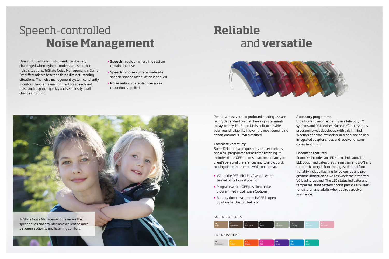

People with severe-to-profound hearing loss are highly dependent on their hearing instruments in day-to-day life. Sumo DM is built to provide year-round reliability in even the most demanding conditions and is **IP58** classified.

#### Complete versatility

- ▶ VC: tactile OFF-click in VC wheel when turned to its lowest position
- **Program switch: OFF position can be** programmed in software (optional)
- ` Battery door: Instrument is OFF in open position for the 675 battery

Sumo DM offers a unique array of user controls and a full programme for assisted listening. It includes three OFF options to accommodate your client's personal preferences and to allow quick muting of the instrument while on the ear.

#### Accessory programme

Ultra Power users frequently use teleloop, FM systems and DAI devices. Sumo DM's accessories programme was developed with this in mind. Whether at home, at work or in school the design integrated adaptor shoes and receiver ensure consistent input.

- $\triangleright$  Speech in quiet where the system remains inactive
- $\triangleright$  Speech in noise where moderate speech-shaped attenuation is applied
- ▶ Noise only where stronger noise reduction is applied

#### Paediatric features

Sumo DM includes an LED status indicator. The LED option indicates that the instrument is ON and that the battery is functioning. Additional functionality include flashing for power-up and programme indication as well as when the preferred VC level is reached. The LED status indicator and tamper resistant battery door is particularly useful for children and adults who require caregiver assistance.

Users of Ultra Power instruments can be very challenged when trying to understand speech in noisy situations. TriState Noise Management in Sumo DM differentiates between three distinct listening situations. The noise management system constantly monitors the client's environment for speech and noise and responds quickly and seamlessly to all changes in sound.

### Speech-controlled **Noise Management**

#### SOLID COLOURS



## **Reliable** and **versatile**